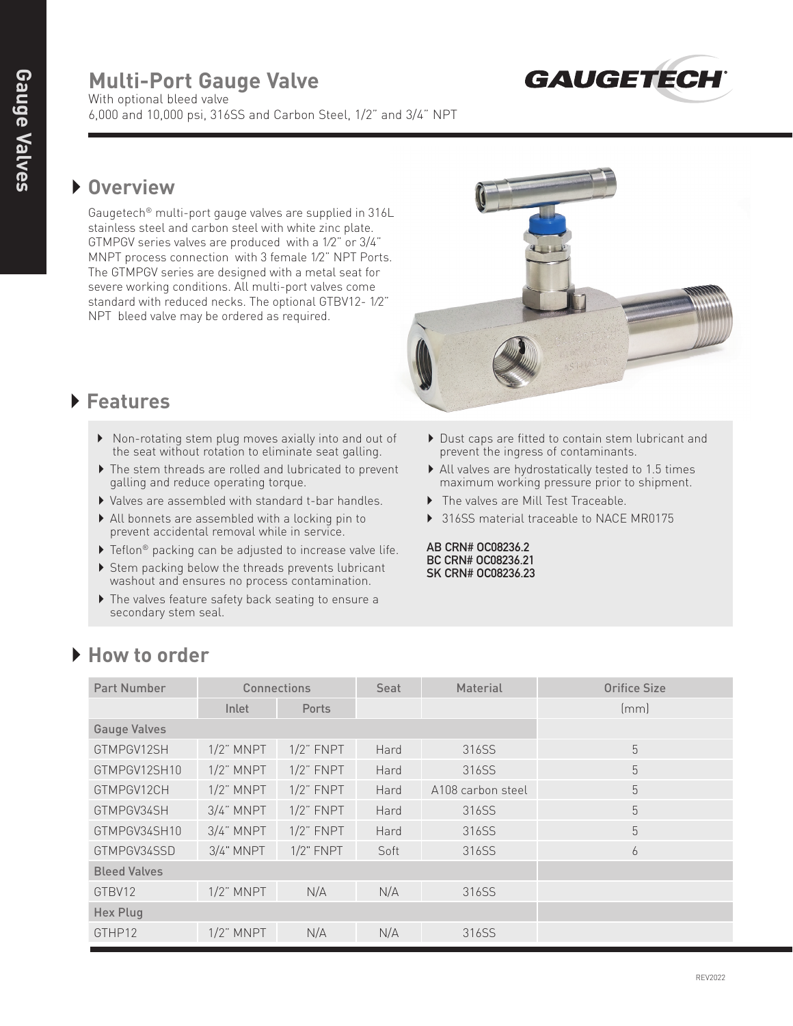# **Multi-Port Gauge Valve**



With optional bleed valve 6,000 and 10,000 psi, 316SS and Carbon Steel, 1/2" and 3/4" NPT

#### } **Overview**

 Gaugetech® multi-port gauge valves are supplied in 316L stainless steel and carbon steel with white zinc plate. GTMPGV series valves are produced with a 1⁄2" or 3/4" MNPT process connection with 3 female 1⁄2" NPT Ports. The GTMPGV series are designed with a metal seat for severe working conditions. All multi-port valves come standard with reduced necks. The optional GTBV12- 1⁄2" NPT bleed valve may be ordered as required.



### } **Features**

- } Non-rotating stem plug moves axially into and out of the seat without rotation to eliminate seat galling.
- } The stem threads are rolled and lubricated to prevent galling and reduce operating torque.
- } Valves are assembled with standard t-bar handles.
- } All bonnets are assembled with a locking pin to prevent accidental removal while in service.
- $\blacktriangleright$  Teflon<sup>®</sup> packing can be adjusted to increase valve life.
- ▶ Stem packing below the threads prevents lubricant washout and ensures no process contamination.
- } The valves feature safety back seating to ensure a secondary stem seal.
- } Dust caps are fitted to contain stem lubricant and prevent the ingress of contaminants.
- } All valves are hydrostatically tested to 1.5 times maximum working pressure prior to shipment.
- } The valves are Mill Test Traceable.
- ▶ 316SS material traceable to NACE MR0175

**AB CRN# OC08236.2 BC CRN# OC08236.21 SK CRN# OC08236.23**

| Part Number         | Connections  |              | Seat | <b>Material</b>   | <b>Orifice Size</b> |
|---------------------|--------------|--------------|------|-------------------|---------------------|
|                     | Inlet        | <b>Ports</b> |      |                   | (mm)                |
| <b>Gauge Valves</b> |              |              |      |                   |                     |
| GTMPGV12SH          | $1/2$ " MNPT | $1/2$ " FNPT | Hard | 316SS             | 5                   |
| GTMPGV12SH10        | $1/2$ " MNPT | $1/2$ " FNPT | Hard | 316SS             | 5                   |
| GTMPGV12CH          | $1/2$ " MNPT | $1/2$ " FNPT | Hard | A108 carbon steel | 5                   |
| GTMPGV34SH          | $3/4$ " MNPT | $1/2$ " FNPT | Hard | 316SS             | 5                   |
| GTMPGV34SH10        | $3/4$ " MNPT | $1/2$ " FNPT | Hard | 316SS             | 5                   |
| GTMPGV34SSD         | $3/4$ " MNPT | $1/2$ " FNPT | Soft | 316SS             | 6                   |
| <b>Bleed Valves</b> |              |              |      |                   |                     |
| GTBV12              | $1/2$ " MNPT | N/A          | N/A  | 316SS             |                     |
| <b>Hex Plug</b>     |              |              |      |                   |                     |
| GTHP12              | $1/2$ " MNPT | N/A          | N/A  | 316SS             |                     |

## } **How to order**